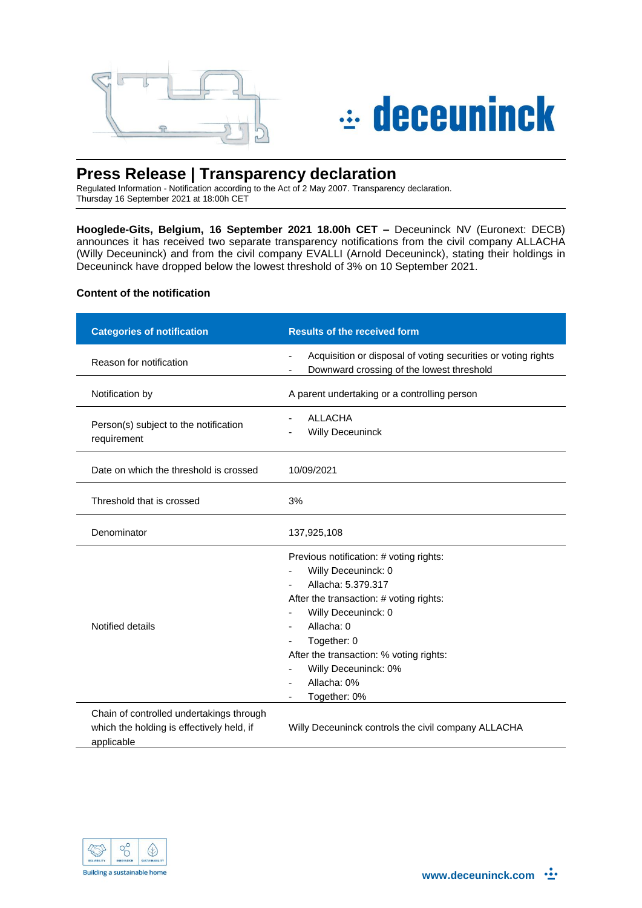



# **Press Release | Transparency declaration**

Regulated Information - Notification according to the Act of 2 May 2007. Transparency declaration. Thursday 16 September 2021 at 18:00h CET

**Hooglede-Gits, Belgium, 16 September 2021 18.00h CET –** Deceuninck NV (Euronext: DECB) announces it has received two separate transparency notifications from the civil company ALLACHA (Willy Deceuninck) and from the civil company EVALLI (Arnold Deceuninck), stating their holdings in Deceuninck have dropped below the lowest threshold of 3% on 10 September 2021.

#### **Content of the notification**

| <b>Categories of notification</b>                                                                   | <b>Results of the received form</b>                                                                                                                                                                                                                                                   |  |
|-----------------------------------------------------------------------------------------------------|---------------------------------------------------------------------------------------------------------------------------------------------------------------------------------------------------------------------------------------------------------------------------------------|--|
| Reason for notification                                                                             | Acquisition or disposal of voting securities or voting rights<br>Downward crossing of the lowest threshold                                                                                                                                                                            |  |
| Notification by                                                                                     | A parent undertaking or a controlling person                                                                                                                                                                                                                                          |  |
| Person(s) subject to the notification<br>requirement                                                | <b>ALLACHA</b><br><b>Willy Deceuninck</b>                                                                                                                                                                                                                                             |  |
| Date on which the threshold is crossed                                                              | 10/09/2021                                                                                                                                                                                                                                                                            |  |
| Threshold that is crossed                                                                           | 3%                                                                                                                                                                                                                                                                                    |  |
| Denominator                                                                                         | 137,925,108                                                                                                                                                                                                                                                                           |  |
| Notified details                                                                                    | Previous notification: # voting rights:<br>Willy Deceuninck: 0<br>Allacha: 5.379.317<br>After the transaction: # voting rights:<br>Willy Deceuninck: 0<br>Allacha: 0<br>Together: 0<br>After the transaction: % voting rights:<br>Willy Deceuninck: 0%<br>Allacha: 0%<br>Together: 0% |  |
| Chain of controlled undertakings through<br>which the holding is effectively held, if<br>applicable | Willy Deceuninck controls the civil company ALLACHA                                                                                                                                                                                                                                   |  |

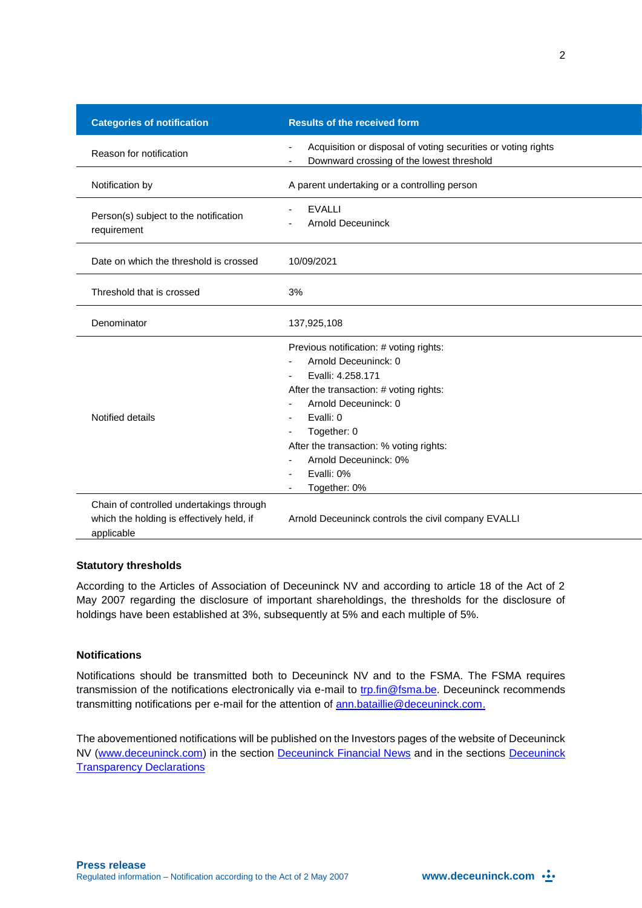| <b>Categories of notification</b>                                                                   | <b>Results of the received form</b>                                                                                                                                                                                                                                   |
|-----------------------------------------------------------------------------------------------------|-----------------------------------------------------------------------------------------------------------------------------------------------------------------------------------------------------------------------------------------------------------------------|
| Reason for notification                                                                             | Acquisition or disposal of voting securities or voting rights<br>Downward crossing of the lowest threshold                                                                                                                                                            |
| Notification by                                                                                     | A parent undertaking or a controlling person                                                                                                                                                                                                                          |
| Person(s) subject to the notification<br>requirement                                                | <b>EVALLI</b><br><b>Arnold Deceuninck</b>                                                                                                                                                                                                                             |
| Date on which the threshold is crossed                                                              | 10/09/2021                                                                                                                                                                                                                                                            |
| Threshold that is crossed                                                                           | 3%                                                                                                                                                                                                                                                                    |
| Denominator                                                                                         | 137,925,108                                                                                                                                                                                                                                                           |
| Notified details                                                                                    | Previous notification: # voting rights:<br>Arnold Deceuninck: 0<br>Evalli: 4.258.171<br>After the transaction: # voting rights:<br>Arnold Deceuninck: 0<br>Evalli: 0<br>Together: 0<br>After the transaction: % voting rights:<br>Arnold Deceuninck: 0%<br>Evalli: 0% |
| Chain of controlled undertakings through<br>which the holding is effectively held, if<br>applicable | Together: 0%<br>Arnold Deceuninck controls the civil company EVALLI                                                                                                                                                                                                   |

### **Statutory thresholds**

According to the Articles of Association of Deceuninck NV and according to article 18 of the Act of 2 May 2007 regarding the disclosure of important shareholdings, the thresholds for the disclosure of holdings have been established at 3%, subsequently at 5% and each multiple of 5%.

## **Notifications**

Notifications should be transmitted both to Deceuninck NV and to the FSMA. The FSMA requires transmission of the notifications electronically via e-mail to [trp.fin@fsma.be.](mailto:trp.fin@fsma.be) Deceuninck recommends transmitting notifications per e-mail for the attention of [ann.bataillie@deceuninck.com.](mailto:ann.bataillie@deceuninck.com)

The abovementioned notifications will be published on the Investors pages of the website of Deceuninck NV [\(www.deceuninck.com\)](http://www.deceuninck.com/) in the section [Deceuninck Financial News](http://www.deceuninck.com/en/press-releases.aspx?year=2014) and in the sections [Deceuninck](http://www.deceuninck.com/en/transparency-declarations.aspx)  **[Transparency Declarations](http://www.deceuninck.com/en/transparency-declarations.aspx)**